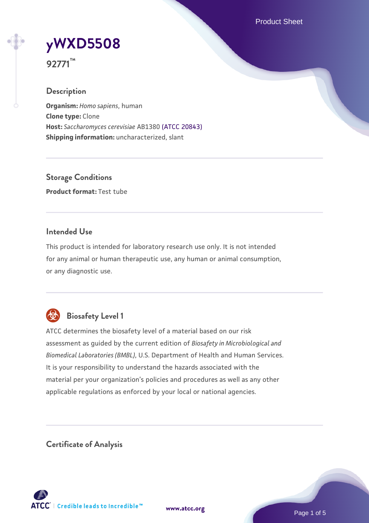Product Sheet

# **[yWXD5508](https://www.atcc.org/products/92771)**

**92771™**

## **Description**

**Organism:** *Homo sapiens*, human **Clone type:** Clone **Host:** *Saccharomyces cerevisiae* AB1380 [\(ATCC 20843\)](https://www.atcc.org/products/20843) **Shipping information:** uncharacterized, slant

**Storage Conditions Product format:** Test tube

## **Intended Use**

This product is intended for laboratory research use only. It is not intended for any animal or human therapeutic use, any human or animal consumption, or any diagnostic use.



## **Biosafety Level 1**

ATCC determines the biosafety level of a material based on our risk assessment as guided by the current edition of *Biosafety in Microbiological and Biomedical Laboratories (BMBL)*, U.S. Department of Health and Human Services. It is your responsibility to understand the hazards associated with the material per your organization's policies and procedures as well as any other applicable regulations as enforced by your local or national agencies.

**Certificate of Analysis**

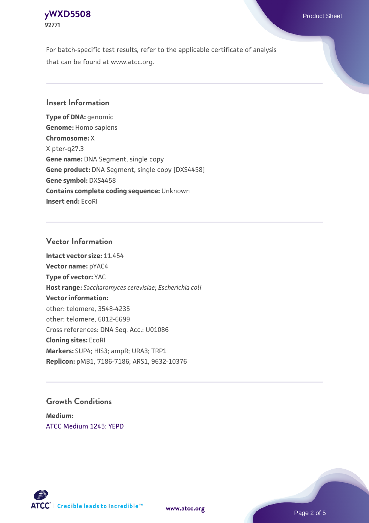For batch-specific test results, refer to the applicable certificate of analysis that can be found at www.atcc.org.

## **Insert Information**

**Type of DNA:** genomic **Genome:** Homo sapiens **Chromosome:** X X pter-q27.3 **Gene name:** DNA Segment, single copy **Gene product:** DNA Segment, single copy [DXS4458] **Gene symbol:** DXS4458 **Contains complete coding sequence:** Unknown **Insert end:** EcoRI

#### **Vector Information**

**Intact vector size:** 11.454 **Vector name:** pYAC4 **Type of vector:** YAC **Host range:** *Saccharomyces cerevisiae*; *Escherichia coli* **Vector information:** other: telomere, 3548-4235 other: telomere, 6012-6699 Cross references: DNA Seq. Acc.: U01086 **Cloning sites:** EcoRI **Markers:** SUP4; HIS3; ampR; URA3; TRP1 **Replicon:** pMB1, 7186-7186; ARS1, 9632-10376

## **Growth Conditions**

**Medium:**  [ATCC Medium 1245: YEPD](https://www.atcc.org/-/media/product-assets/documents/microbial-media-formulations/1/2/4/5/atcc-medium-1245.pdf?rev=705ca55d1b6f490a808a965d5c072196)



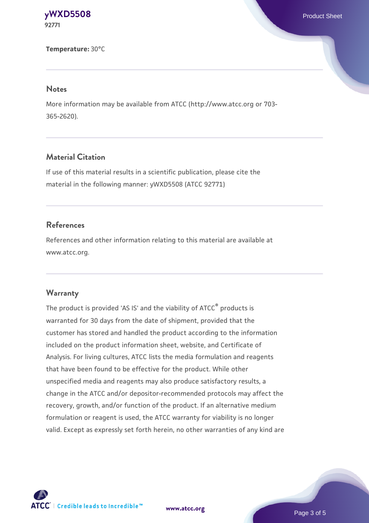**Temperature:** 30°C

#### **Notes**

More information may be available from ATCC (http://www.atcc.org or 703- 365-2620).

## **Material Citation**

If use of this material results in a scientific publication, please cite the material in the following manner: yWXD5508 (ATCC 92771)

## **References**

References and other information relating to this material are available at www.atcc.org.

#### **Warranty**

The product is provided 'AS IS' and the viability of ATCC® products is warranted for 30 days from the date of shipment, provided that the customer has stored and handled the product according to the information included on the product information sheet, website, and Certificate of Analysis. For living cultures, ATCC lists the media formulation and reagents that have been found to be effective for the product. While other unspecified media and reagents may also produce satisfactory results, a change in the ATCC and/or depositor-recommended protocols may affect the recovery, growth, and/or function of the product. If an alternative medium formulation or reagent is used, the ATCC warranty for viability is no longer valid. Except as expressly set forth herein, no other warranties of any kind are



**[www.atcc.org](http://www.atcc.org)**

Page 3 of 5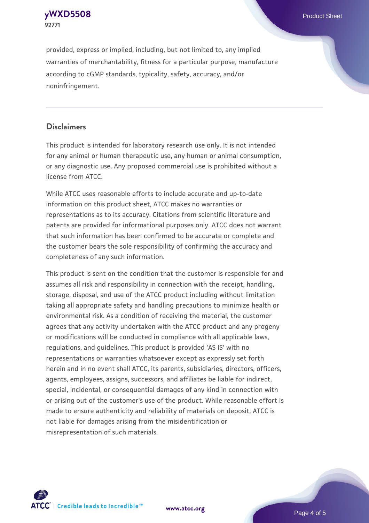provided, express or implied, including, but not limited to, any implied warranties of merchantability, fitness for a particular purpose, manufacture according to cGMP standards, typicality, safety, accuracy, and/or noninfringement.

#### **Disclaimers**

This product is intended for laboratory research use only. It is not intended for any animal or human therapeutic use, any human or animal consumption, or any diagnostic use. Any proposed commercial use is prohibited without a license from ATCC.

While ATCC uses reasonable efforts to include accurate and up-to-date information on this product sheet, ATCC makes no warranties or representations as to its accuracy. Citations from scientific literature and patents are provided for informational purposes only. ATCC does not warrant that such information has been confirmed to be accurate or complete and the customer bears the sole responsibility of confirming the accuracy and completeness of any such information.

This product is sent on the condition that the customer is responsible for and assumes all risk and responsibility in connection with the receipt, handling, storage, disposal, and use of the ATCC product including without limitation taking all appropriate safety and handling precautions to minimize health or environmental risk. As a condition of receiving the material, the customer agrees that any activity undertaken with the ATCC product and any progeny or modifications will be conducted in compliance with all applicable laws, regulations, and guidelines. This product is provided 'AS IS' with no representations or warranties whatsoever except as expressly set forth herein and in no event shall ATCC, its parents, subsidiaries, directors, officers, agents, employees, assigns, successors, and affiliates be liable for indirect, special, incidental, or consequential damages of any kind in connection with or arising out of the customer's use of the product. While reasonable effort is made to ensure authenticity and reliability of materials on deposit, ATCC is not liable for damages arising from the misidentification or misrepresentation of such materials.



**[www.atcc.org](http://www.atcc.org)**

Page 4 of 5